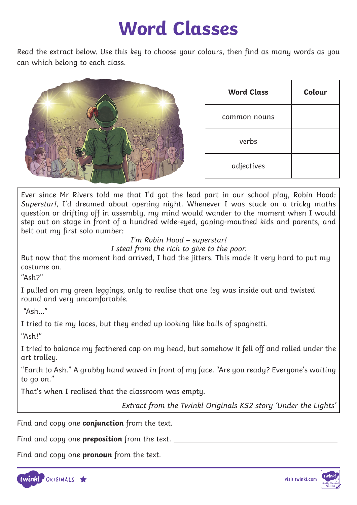#### **Word Classes**

Read the extract below. Use this key to choose your colours, then find as many words as you can which belong to each class.

| <b>Word Class</b> | Colour |
|-------------------|--------|
| common nouns      |        |
| verbs             |        |
| adjectives        |        |

Ever since Mr Rivers told me that I'd got the lead part in our school play, Robin Hood: Superstar!, I'd dreamed about opening night. Whenever I was stuck on a tricky maths question or drifting off in assembly, my mind would wander to the moment when I would step out on stage in front of a hundred wide-eyed, gaping-mouthed kids and parents, and belt out my first solo number:

<sup>I</sup>'m Robin Hood – superstar! I steal from the rich to give to the poor.

But now that the moment had arrived, I had the jitters. This made it very hard to put my costume on.

 $"Ash?"$ 

I pulled on my green leggings, only to realise that one leg was inside out and twisted round and very uncomfortable.

"Ash…"

I tried to tie my laces, but they ended up looking like balls of spaghetti.

"Ash!"

I tried to balance my feathered cap on my head, but somehow it fell off and rolled under the art trolley.

"Earth to Ash." A grubby hand waved in front of my face. "Are you ready? Everyone's waiting to go on."

That's when I realised that the classroom was empty.

Extract from the Twinkl Originals KS2 story 'Under the Lights'

Find and copy one **conjunction** from the text.

Find and copy one **preposition** from the text.

Find and copy one **pronoun** from the text.



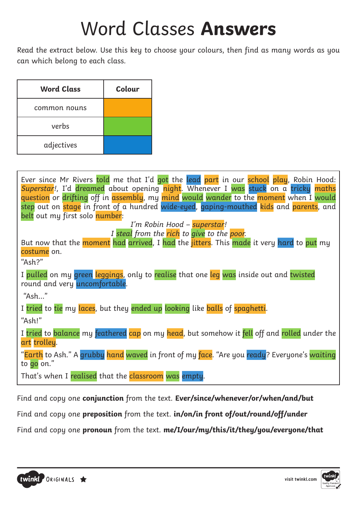## Word Classes **Answers**

Read the extract below. Use this key to choose your colours, then find as many words as you can which belong to each class.

| <b>Word Class</b> | Colour |
|-------------------|--------|
| common nouns      |        |
| verbs             |        |
| adjectives        |        |

| Ever since Mr Rivers told me that I'd got the lead part in our school play, Robin Hood:                                 |
|-------------------------------------------------------------------------------------------------------------------------|
| Superstar!, I'd dreamed about opening night. Whenever I was stuck on a tricky maths                                     |
| question or drifting off in assembly, my mind would wander to the moment when I would                                   |
| step out on stage in front of a hundred wide-eyed, gaping-mouthed kids and parents, and                                 |
| belt out my first solo number:                                                                                          |
| I'm Robin Hood - superstar!                                                                                             |
| I steal from the rich to give to the poor.                                                                              |
| But now that the moment had arrived, I had the jitters. This made it very hard to put my                                |
| costume on.                                                                                                             |
| "Ash?"                                                                                                                  |
| I pulled on my green leggings, only to realise that one leg was inside out and twisted<br>round and very uncomfortable. |
| "Ash"                                                                                                                   |
| I tried to tie my laces, but they ended up looking like balls of spaghetti.                                             |
| "Ash!"                                                                                                                  |
| I tried to balance my feathered cap on my head, but somehow it fell off and rolled under the<br>art trolley.            |
| "Earth to Ash." A grubby hand waved in front of my face. "Are you ready? Everyone's waiting<br>to go on."               |
| That's when I realised that the classroom was empty.                                                                    |

Find and copy one **conjunction** from the text. **Ever/since/whenever/or/when/and/but**

Find and copy one **preposition** from the text. **in/on/in front of/out/round/off/under**

Find and copy one **pronoun** from the text. **me/I/our/my/this/it/they/you/everyone/that**

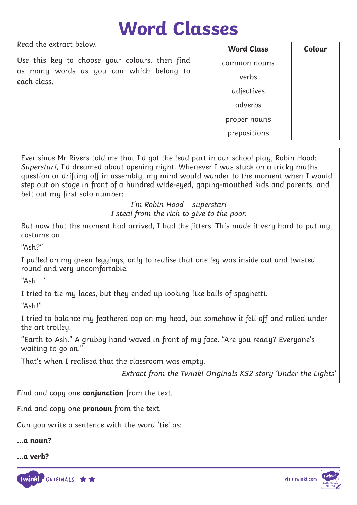#### **Word Classes**

Read the extract below.

Use this key to choose your colours, then find as many words as you can which belong to each class.

| <b>Word Class</b> | Colour |
|-------------------|--------|
| common nouns      |        |
| verbs             |        |
| adjectives        |        |
| adverbs           |        |
| proper nouns      |        |
| prepositions      |        |

Ever since Mr Rivers told me that I'd got the lead part in our school play, Robin Hood: Superstar!, I'd dreamed about opening night. Whenever I was stuck on a tricky maths question or drifting off in assembly, my mind would wander to the moment when I would step out on stage in front of a hundred wide-eyed, gaping-mouthed kids and parents, and belt out my first solo number:

> <sup>I</sup>'m Robin Hood – superstar! I steal from the rich to give to the poor.

But now that the moment had arrived, I had the jitters. This made it very hard to put my costume on.

 $"Ash?"$ 

I pulled on my green leggings, only to realise that one leg was inside out and twisted round and very uncomfortable.

 $"Ash"$ 

I tried to tie my laces, but they ended up looking like balls of spaghetti.

"Ash!"

I tried to balance my feathered cap on my head, but somehow it fell off and rolled under the art trolley.

"Earth to Ash." A grubby hand waved in front of my face. "Are you ready? Everyone's waiting to go on."

That's when I realised that the classroom was empty.

Extract from the Twinkl Originals KS2 story 'Under the Lights'

Find and copy one **conjunction** from the text.

Find and copy one **pronoun** from the text.

Can you write a sentence with the word 'tie' as:

**…a noun?** 

**…a verb?** 



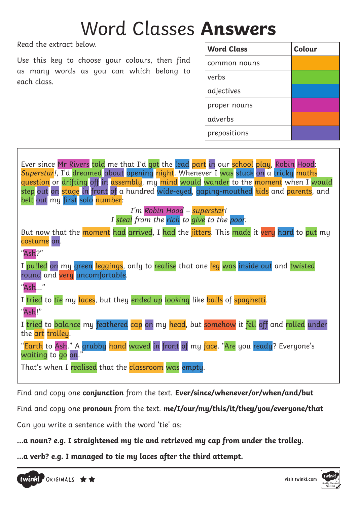## Word Classes **Answers**

Read the extract below.

Use this key to choose your colours, then find as many words as you can which belong to each class.

| <b>Word Class</b> | Colour |
|-------------------|--------|
| common nouns      |        |
| verbs             |        |
| adjectives        |        |
| proper nouns      |        |
| adverbs           |        |
| prepositions      |        |

| Ever since Mr Rivers told me that I'd got the lead part in our school play, Robin Hood:<br>Superstar!, I'd dreamed about opening night. Whenever I was stuck on a tricky maths<br>question or drifting off in assembly, my mind would wander to the moment when I would<br>step out on stage in front of a hundred wide-eyed, gaping-mouthed kids and parents, and<br>belt out my first solo number: |
|------------------------------------------------------------------------------------------------------------------------------------------------------------------------------------------------------------------------------------------------------------------------------------------------------------------------------------------------------------------------------------------------------|
| I'm Robin Hood - superstar!<br>I steal from the rich to give to the poor.                                                                                                                                                                                                                                                                                                                            |
| But now that the moment had arrived, I had the jitters. This made it very hard to put my<br>costume on.                                                                                                                                                                                                                                                                                              |
| "Ash?"                                                                                                                                                                                                                                                                                                                                                                                               |
| I pulled on my green leggings, only to realise that one leg was inside out and twisted<br>round and very uncomfortable.                                                                                                                                                                                                                                                                              |
| "Ash"                                                                                                                                                                                                                                                                                                                                                                                                |
| I tried to tie my laces, but they ended up looking like balls of spaghetti.                                                                                                                                                                                                                                                                                                                          |
| "Ash!"                                                                                                                                                                                                                                                                                                                                                                                               |
| I tried to balance my feathered cap on my head, but somehow it fell off and rolled under<br>the art trolley.                                                                                                                                                                                                                                                                                         |
| "Earth to Ash." A grubby hand waved in front of my face. "Are you ready? Everyone's<br>waiting to go on."                                                                                                                                                                                                                                                                                            |
| That's when I realised that the classroom was empty.                                                                                                                                                                                                                                                                                                                                                 |

Find and copy one **conjunction** from the text. **Ever/since/whenever/or/when/and/but**

Find and copy one **pronoun** from the text. **me/I/our/my/this/it/they/you/everyone/that**

Can you write a sentence with the word 'tie' as:

**…a noun? e.g. I straightened my tie and retrieved my cap from under the trolley.** 

**…a verb? e.g. I managed to tie my laces after the third attempt.**

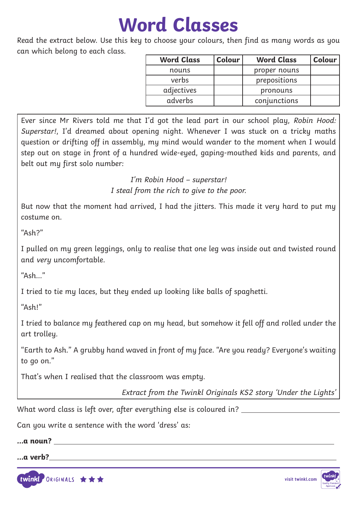### **Word Classes**

Read the extract below. Use this key to choose your colours, then find as many words as you can which belong to each class.

| <b>Word Class</b> | Colour | <b>Word Class</b> | Colour |
|-------------------|--------|-------------------|--------|
| nouns             |        | proper nouns      |        |
| verbs             |        | prepositions      |        |
| adjectives        |        | pronouns          |        |
| adverbs           |        | conjunctions      |        |

Ever since Mr Rivers told me that I'd got the lead part in our school play, Robin Hood: Superstar!, I'd dreamed about opening night. Whenever I was stuck on a tricky maths question or drifting off in assembly, my mind would wander to the moment when I would step out on stage in front of a hundred wide-eyed, gaping-mouthed kids and parents, and belt out my first solo number:

> <sup>I</sup>'m Robin Hood – superstar! I steal from the rich to give to the poor.

But now that the moment had arrived, I had the jitters. This made it very hard to put my costume on.

"Ash?"

I pulled on my green leggings, only to realise that one leg was inside out and twisted round and very uncomfortable.

"Ash…"

I tried to tie my laces, but they ended up looking like balls of spaghetti.

"Ash!"

I tried to balance my feathered cap on my head, but somehow it fell off and rolled under the art trolley.

"Earth to Ash." A grubby hand waved in front of my face. "Are you ready? Everyone's waiting to go on."

That's when I realised that the classroom was empty.

Extract from the Twinkl Originals KS2 story 'Under the Lights'

What word class is left over, after everything else is coloured in?

Can you write a sentence with the word 'dress' as:

#### **…a noun? …a verb?**